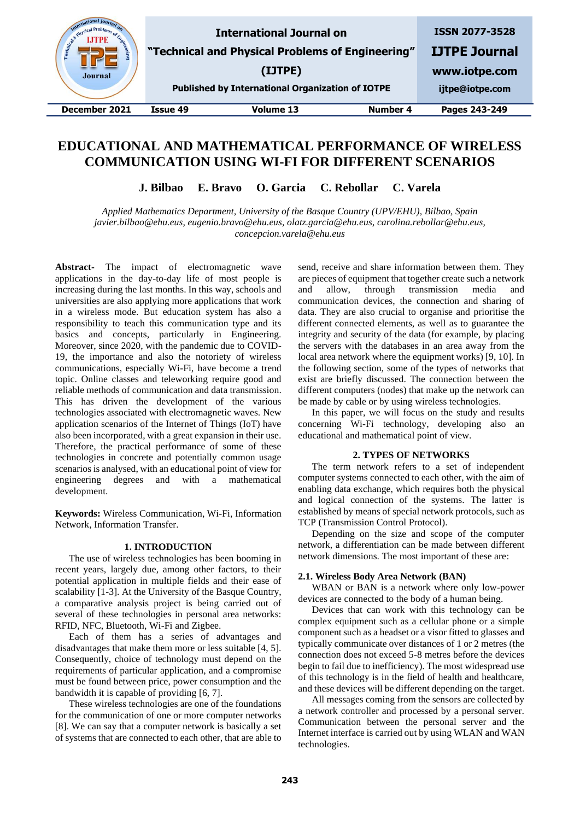

# **EDUCATIONAL AND MATHEMATICAL PERFORMANCE OF WIRELESS COMMUNICATION USING WI-FI FOR DIFFERENT SCENARIOS**

**J. Bilbao E. Bravo O. Garcia C. Rebollar C. Varela**

*Applied Mathematics Department, University of the Basque Country (UPV/EHU), Bilbao, Spain javier.bilbao@ehu.eus, eugenio.bravo@ehu.eus, olatz.garcia@ehu.eus, carolina.rebollar@ehu.eus, concepcion.varela@ehu.eus*

**Abstract-** The impact of electromagnetic wave applications in the day-to-day life of most people is increasing during the last months. In this way, schools and universities are also applying more applications that work in a wireless mode. But education system has also a responsibility to teach this communication type and its basics and concepts, particularly in Engineering. Moreover, since 2020, with the pandemic due to COVID-19, the importance and also the notoriety of wireless communications, especially Wi-Fi, have become a trend topic. Online classes and teleworking require good and reliable methods of communication and data transmission. This has driven the development of the various technologies associated with electromagnetic waves. New application scenarios of the Internet of Things (IoT) have also been incorporated, with a great expansion in their use. Therefore, the practical performance of some of these technologies in concrete and potentially common usage scenarios is analysed, with an educational point of view for engineering degrees and with a mathematical development.

**Keywords:** Wireless Communication, Wi-Fi, Information Network, Information Transfer.

## **1. INTRODUCTION**

The use of wireless technologies has been booming in recent years, largely due, among other factors, to their potential application in multiple fields and their ease of scalability [1-3]. At the University of the Basque Country, a comparative analysis project is being carried out of several of these technologies in personal area networks: RFID, NFC, Bluetooth, Wi-Fi and Zigbee.

Each of them has a series of advantages and disadvantages that make them more or less suitable [4, 5]. Consequently, choice of technology must depend on the requirements of particular application, and a compromise must be found between price, power consumption and the bandwidth it is capable of providing [6, 7].

These wireless technologies are one of the foundations for the communication of one or more computer networks [8]. We can say that a computer network is basically a set of systems that are connected to each other, that are able to

send, receive and share information between them. They are pieces of equipment that together create such a network and allow, through transmission media and communication devices, the connection and sharing of data. They are also crucial to organise and prioritise the different connected elements, as well as to guarantee the integrity and security of the data (for example, by placing the servers with the databases in an area away from the local area network where the equipment works) [9, 10]. In the following section, some of the types of networks that exist are briefly discussed. The connection between the different computers (nodes) that make up the network can be made by cable or by using wireless technologies.

In this paper, we will focus on the study and results concerning Wi-Fi technology, developing also an educational and mathematical point of view.

# **2. TYPES OF NETWORKS**

The term network refers to a set of independent computer systems connected to each other, with the aim of enabling data exchange, which requires both the physical and logical connection of the systems. The latter is established by means of special network protocols, such as TCP (Transmission Control Protocol).

Depending on the size and scope of the computer network, a differentiation can be made between different network dimensions. The most important of these are:

#### **2.1. Wireless Body Area Network (BAN)**

WBAN or BAN is a network where only low-power devices are connected to the body of a human being.

Devices that can work with this technology can be complex equipment such as a cellular phone or a simple component such as a headset or a visor fitted to glasses and typically communicate over distances of 1 or 2 metres (the connection does not exceed 5-8 metres before the devices begin to fail due to inefficiency). The most widespread use of this technology is in the field of health and healthcare, and these devices will be different depending on the target.

All messages coming from the sensors are collected by a network controller and processed by a personal server. Communication between the personal server and the Internet interface is carried out by using WLAN and WAN technologies.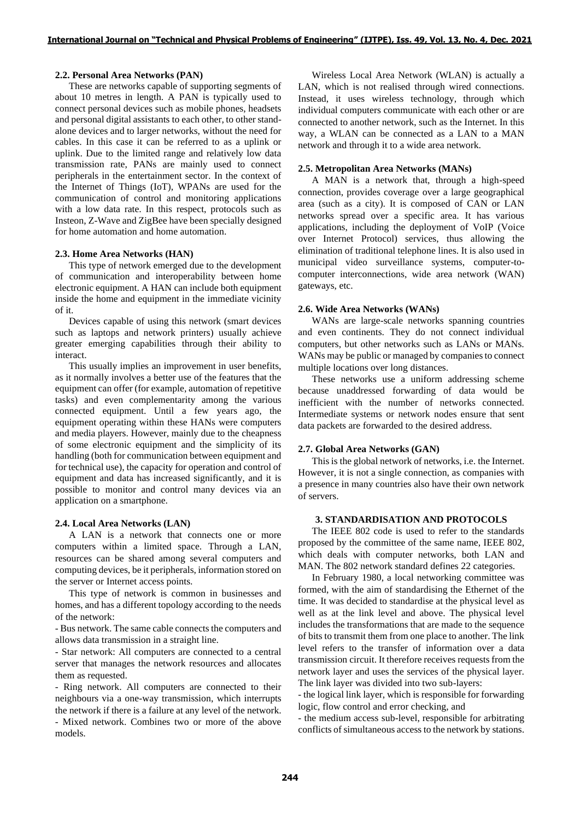# **2.2. Personal Area Networks (PAN)**

These are networks capable of supporting segments of about 10 metres in length. A PAN is typically used to connect personal devices such as mobile phones, headsets and personal digital assistants to each other, to other standalone devices and to larger networks, without the need for cables. In this case it can be referred to as a uplink or uplink. Due to the limited range and relatively low data transmission rate, PANs are mainly used to connect peripherals in the entertainment sector. In the context of the Internet of Things (IoT), WPANs are used for the communication of control and monitoring applications with a low data rate. In this respect, protocols such as Insteon, Z-Wave and ZigBee have been specially designed for home automation and home automation.

## **2.3. Home Area Networks (HAN)**

This type of network emerged due to the development of communication and interoperability between home electronic equipment. A HAN can include both equipment inside the home and equipment in the immediate vicinity of it.

Devices capable of using this network (smart devices such as laptops and network printers) usually achieve greater emerging capabilities through their ability to interact.

This usually implies an improvement in user benefits, as it normally involves a better use of the features that the equipment can offer (for example, automation of repetitive tasks) and even complementarity among the various connected equipment. Until a few years ago, the equipment operating within these HANs were computers and media players. However, mainly due to the cheapness of some electronic equipment and the simplicity of its handling (both for communication between equipment and for technical use), the capacity for operation and control of equipment and data has increased significantly, and it is possible to monitor and control many devices via an application on a smartphone.

#### **2.4. Local Area Networks (LAN)**

A LAN is a network that connects one or more computers within a limited space. Through a LAN, resources can be shared among several computers and computing devices, be it peripherals, information stored on the server or Internet access points.

This type of network is common in businesses and homes, and has a different topology according to the needs of the network:

- Bus network. The same cable connects the computers and allows data transmission in a straight line.

- Star network: All computers are connected to a central server that manages the network resources and allocates them as requested.

- Ring network. All computers are connected to their neighbours via a one-way transmission, which interrupts the network if there is a failure at any level of the network.

- Mixed network. Combines two or more of the above models.

Wireless Local Area Network (WLAN) is actually a LAN, which is not realised through wired connections. Instead, it uses wireless technology, through which individual computers communicate with each other or are connected to another network, such as the Internet. In this way, a WLAN can be connected as a LAN to a MAN network and through it to a wide area network.

#### **2.5. Metropolitan Area Networks (MANs)**

A MAN is a network that, through a high-speed connection, provides coverage over a large geographical area (such as a city). It is composed of CAN or LAN networks spread over a specific area. It has various applications, including the deployment of VoIP (Voice over Internet Protocol) services, thus allowing the elimination of traditional telephone lines. It is also used in municipal video surveillance systems, computer-tocomputer interconnections, wide area network (WAN) gateways, etc.

## **2.6. Wide Area Networks (WANs)**

WANs are large-scale networks spanning countries and even continents. They do not connect individual computers, but other networks such as LANs or MANs. WANs may be public or managed by companies to connect multiple locations over long distances.

These networks use a uniform addressing scheme because unaddressed forwarding of data would be inefficient with the number of networks connected. Intermediate systems or network nodes ensure that sent data packets are forwarded to the desired address.

#### **2.7. Global Area Networks (GAN)**

This is the global network of networks, i.e. the Internet. However, it is not a single connection, as companies with a presence in many countries also have their own network of servers.

## **3. STANDARDISATION AND PROTOCOLS**

The IEEE 802 code is used to refer to the standards proposed by the committee of the same name, IEEE 802, which deals with computer networks, both LAN and MAN. The 802 network standard defines 22 categories.

In February 1980, a local networking committee was formed, with the aim of standardising the Ethernet of the time. It was decided to standardise at the physical level as well as at the link level and above. The physical level includes the transformations that are made to the sequence of bits to transmit them from one place to another. The link level refers to the transfer of information over a data transmission circuit. It therefore receives requests from the network layer and uses the services of the physical layer. The link layer was divided into two sub-layers:

- the logical link layer, which is responsible for forwarding logic, flow control and error checking, and

- the medium access sub-level, responsible for arbitrating conflicts of simultaneous access to the network by stations.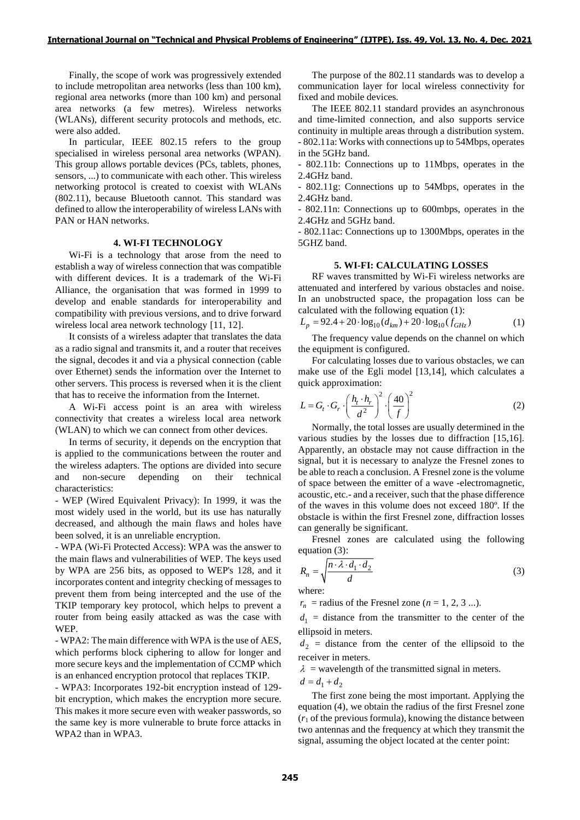Finally, the scope of work was progressively extended to include metropolitan area networks (less than 100 km), regional area networks (more than 100 km) and personal area networks (a few metres). Wireless networks (WLANs), different security protocols and methods, etc. were also added.

In particular, IEEE 802.15 refers to the group specialised in wireless personal area networks (WPAN). This group allows portable devices (PCs, tablets, phones, sensors, ...) to communicate with each other. This wireless networking protocol is created to coexist with WLANs (802.11), because Bluetooth cannot. This standard was defined to allow the interoperability of wireless LANs with PAN or HAN networks.

#### **4. WI-FI TECHNOLOGY**

Wi-Fi is a technology that arose from the need to establish a way of wireless connection that was compatible with different devices. It is a trademark of the Wi-Fi Alliance, the organisation that was formed in 1999 to develop and enable standards for interoperability and compatibility with previous versions, and to drive forward wireless local area network technology [11, 12].

It consists of a wireless adapter that translates the data as a radio signal and transmits it, and a router that receives the signal, decodes it and via a physical connection (cable over Ethernet) sends the information over the Internet to other servers. This process is reversed when it is the client that has to receive the information from the Internet.

A Wi-Fi access point is an area with wireless connectivity that creates a wireless local area network (WLAN) to which we can connect from other devices.

In terms of security, it depends on the encryption that is applied to the communications between the router and the wireless adapters. The options are divided into secure and non-secure depending on their technical characteristics:

- WEP (Wired Equivalent Privacy): In 1999, it was the most widely used in the world, but its use has naturally decreased, and although the main flaws and holes have been solved, it is an unreliable encryption.

- WPA (Wi-Fi Protected Access): WPA was the answer to the main flaws and vulnerabilities of WEP. The keys used by WPA are 256 bits, as opposed to WEP's 128, and it incorporates content and integrity checking of messages to prevent them from being intercepted and the use of the TKIP temporary key protocol, which helps to prevent a router from being easily attacked as was the case with WEP.

- WPA2: The main difference with WPA is the use of AES, which performs block ciphering to allow for longer and more secure keys and the implementation of CCMP which is an enhanced encryption protocol that replaces TKIP.

- WPA3: Incorporates 192-bit encryption instead of 129 bit encryption, which makes the encryption more secure. This makes it more secure even with weaker passwords, so the same key is more vulnerable to brute force attacks in WPA2 than in WPA3.

The purpose of the 802.11 standards was to develop a communication layer for local wireless connectivity for fixed and mobile devices.

The IEEE 802.11 standard provides an asynchronous and time-limited connection, and also supports service continuity in multiple areas through a distribution system. - 802.11a: Works with connections up to 54Mbps, operates in the 5GHz band.

- 802.11b: Connections up to 11Mbps, operates in the 2.4GHz band.

- 802.11g: Connections up to 54Mbps, operates in the 2.4GHz band.

- 802.11n: Connections up to 600mbps, operates in the 2.4GHz and 5GHz band.

- 802.11ac: Connections up to 1300Mbps, operates in the 5GHZ band.

#### **5. WI-FI: CALCULATING LOSSES**

RF waves transmitted by Wi-Fi wireless networks are attenuated and interfered by various obstacles and noise. In an unobstructed space, the propagation loss can be calculated with the following equation (1):

$$
L_p = 92.4 + 20 \cdot \log_{10}(d_{km}) + 20 \cdot \log_{10}(f_{GHz})
$$
 (1)

The frequency value depends on the channel on which the equipment is configured.

For calculating losses due to various obstacles, we can make use of the Egli model [13,14], which calculates a quick approximation:

$$
L = G_t \cdot G_r \cdot \left(\frac{h_t \cdot h_r}{d^2}\right)^2 \cdot \left(\frac{40}{f}\right)^2 \tag{2}
$$

Normally, the total losses are usually determined in the various studies by the losses due to diffraction [15,16]. Apparently, an obstacle may not cause diffraction in the signal, but it is necessary to analyze the Fresnel zones to be able to reach a conclusion. A Fresnel zone is the volume of space between the emitter of a wave -electromagnetic, acoustic, etc.- and a receiver, such that the phase difference of the waves in this volume does not exceed 180º. If the obstacle is within the first Fresnel zone, diffraction losses can generally be significant.

Fresnel zones are calculated using the following equation (3):

$$
R_n = \sqrt{\frac{n \cdot \lambda \cdot d_1 \cdot d_2}{d}} \tag{3}
$$

where:

 $r_n$  = radius of the Fresnel zone ( $n = 1, 2, 3$  ...).

 $d_1$  = distance from the transmitter to the center of the ellipsoid in meters.

 $d_2$  = distance from the center of the ellipsoid to the receiver in meters.

 $\lambda$  = wavelength of the transmitted signal in meters.

$$
d = d_1 + d_2
$$

The first zone being the most important. Applying the equation (4), we obtain the radius of the first Fresnel zone  $(r_1)$  of the previous formula), knowing the distance between two antennas and the frequency at which they transmit the signal, assuming the object located at the center point: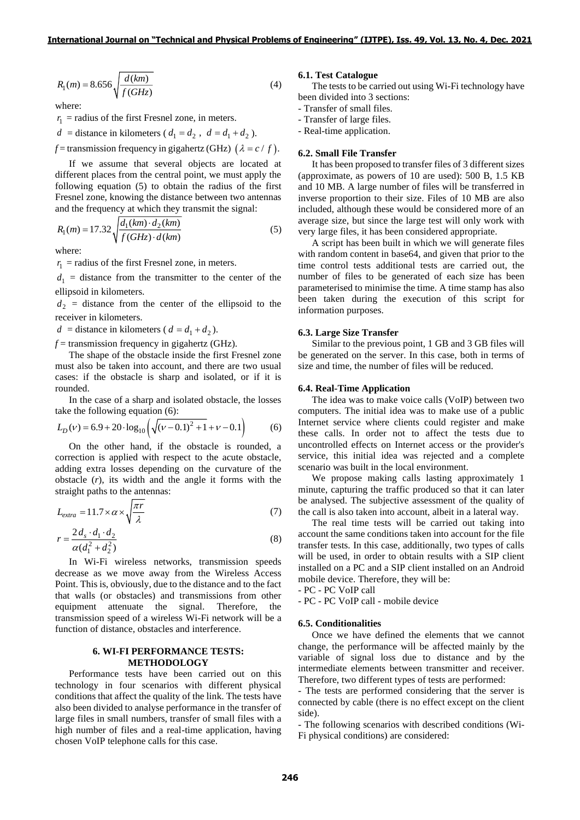$$
R_1(m) = 8.656 \sqrt{\frac{d(km)}{f(GHz)}}
$$
 (4)

where:

 $r_1$  = radius of the first Fresnel zone, in meters.

 $d = \text{distance in kilometers } (d_1 = d_2, d_1 = d_1 + d_2).$ 

 $f$  = transmission frequency in gigahertz (GHz)  $(\lambda = c / f)$ .

If we assume that several objects are located at different places from the central point, we must apply the following equation (5) to obtain the radius of the first Fresnel zone, knowing the distance between two antennas

and the frequency at which they transmit the signal:  
\n
$$
R_1(m) = 17.32 \sqrt{\frac{d_1(km) \cdot d_2(km)}{f(GHz) \cdot d(km)}}
$$
\n(5)

where:

 $r_1$  = radius of the first Fresnel zone, in meters.

 $d_1$  = distance from the transmitter to the center of the ellipsoid in kilometers.

 $d_2$  = distance from the center of the ellipsoid to the receiver in kilometers.

 $d =$  distance in kilometers ( $d = d_1 + d_2$ ).

 $f$  = transmission frequency in gigahertz (GHz).

The shape of the obstacle inside the first Fresnel zone must also be taken into account, and there are two usual cases: if the obstacle is sharp and isolated, or if it is rounded.

In the case of a sharp and isolated obstacle, the losses

take the following equation (6):  
\n
$$
L_D(v) = 6.9 + 20 \cdot \log_{10} \left( \sqrt{(v - 0.1)^2 + 1} + v - 0.1 \right)
$$
\n(6)

On the other hand, if the obstacle is rounded, a correction is applied with respect to the acute obstacle, adding extra losses depending on the curvature of the obstacle (*r*), its width and the angle it forms with the straight paths to the antennas:

$$
L_{extra} = 11.7 \times \alpha \times \sqrt{\frac{\pi r}{\lambda}}
$$
 (7)

$$
r = \frac{2d_s \cdot d_1 \cdot d_2}{\alpha(d_1^2 + d_2^2)}\tag{8}
$$

In Wi-Fi wireless networks, transmission speeds decrease as we move away from the Wireless Access Point. This is, obviously, due to the distance and to the fact that walls (or obstacles) and transmissions from other equipment attenuate the signal. Therefore, the transmission speed of a wireless Wi-Fi network will be a function of distance, obstacles and interference.

## **6. WI-FI PERFORMANCE TESTS: METHODOLOGY**

Performance tests have been carried out on this technology in four scenarios with different physical conditions that affect the quality of the link. The tests have also been divided to analyse performance in the transfer of large files in small numbers, transfer of small files with a high number of files and a real-time application, having chosen VoIP telephone calls for this case.

## **6.1. Test Catalogue**

The tests to be carried out using Wi-Fi technology have been divided into 3 sections:

- Transfer of small files.

- Transfer of large files.

- Real-time application.

#### **6.2. Small File Transfer**

It has been proposed to transfer files of 3 different sizes (approximate, as powers of 10 are used): 500 B, 1.5 KB and 10 MB. A large number of files will be transferred in inverse proportion to their size. Files of 10 MB are also included, although these would be considered more of an average size, but since the large test will only work with very large files, it has been considered appropriate.

A script has been built in which we will generate files with random content in base 64, and given that prior to the time control tests additional tests are carried out, the number of files to be generated of each size has been parameterised to minimise the time. A time stamp has also been taken during the execution of this script for information purposes.

#### **6.3. Large Size Transfer**

Similar to the previous point, 1 GB and 3 GB files will be generated on the server. In this case, both in terms of size and time, the number of files will be reduced.

## **6.4. Real-Time Application**

The idea was to make voice calls (VoIP) between two computers. The initial idea was to make use of a public Internet service where clients could register and make these calls. In order not to affect the tests due to uncontrolled effects on Internet access or the provider's service, this initial idea was rejected and a complete scenario was built in the local environment.

We propose making calls lasting approximately 1 minute, capturing the traffic produced so that it can later be analysed. The subjective assessment of the quality of the call is also taken into account, albeit in a lateral way.

The real time tests will be carried out taking into account the same conditions taken into account for the file transfer tests. In this case, additionally, two types of calls will be used, in order to obtain results with a SIP client installed on a PC and a SIP client installed on an Android mobile device. Therefore, they will be:

- PC - PC VoIP call

- PC - PC VoIP call - mobile device

## **6.5. Conditionalities**

Once we have defined the elements that we cannot change, the performance will be affected mainly by the variable of signal loss due to distance and by the intermediate elements between transmitter and receiver. Therefore, two different types of tests are performed:

- The tests are performed considering that the server is connected by cable (there is no effect except on the client side).

- The following scenarios with described conditions (Wi-Fi physical conditions) are considered: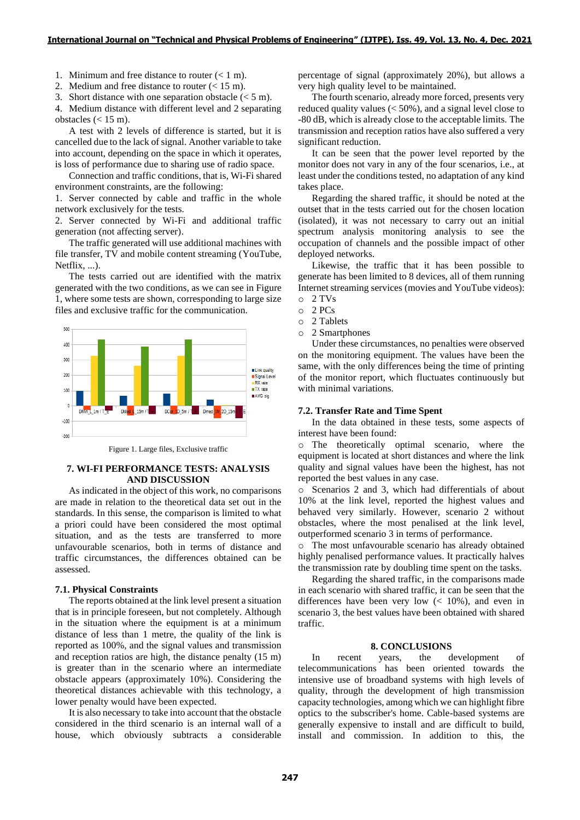1. Minimum and free distance to router  $(< 1 \text{ m})$ .

2. Medium and free distance to router (< 15 m).

3. Short distance with one separation obstacle  $(< 5 \text{ m})$ .

4. Medium distance with different level and 2 separating obstacles  $(< 15 \text{ m})$ .

A test with 2 levels of difference is started, but it is cancelled due to the lack of signal. Another variable to take into account, depending on the space in which it operates, is loss of performance due to sharing use of radio space.

Connection and traffic conditions, that is, Wi-Fi shared environment constraints, are the following:

1. Server connected by cable and traffic in the whole network exclusively for the tests.

2. Server connected by Wi-Fi and additional traffic generation (not affecting server).

The traffic generated will use additional machines with file transfer, TV and mobile content streaming (YouTube, Netflix, ...).

The tests carried out are identified with the matrix generated with the two conditions, as we can see in Figure 1, where some tests are shown, corresponding to large size files and exclusive traffic for the communication.



Figure 1. Large files, Exclusive traffic

# **7. WI-FI PERFORMANCE TESTS: ANALYSIS AND DISCUSSION**

As indicated in the object of this work, no comparisons are made in relation to the theoretical data set out in the standards. In this sense, the comparison is limited to what a priori could have been considered the most optimal situation, and as the tests are transferred to more unfavourable scenarios, both in terms of distance and traffic circumstances, the differences obtained can be assessed.

#### **7.1. Physical Constraints**

The reports obtained at the link level present a situation that is in principle foreseen, but not completely. Although in the situation where the equipment is at a minimum distance of less than 1 metre, the quality of the link is reported as 100%, and the signal values and transmission and reception ratios are high, the distance penalty (15 m) is greater than in the scenario where an intermediate obstacle appears (approximately 10%). Considering the theoretical distances achievable with this technology, a lower penalty would have been expected.

It is also necessary to take into account that the obstacle considered in the third scenario is an internal wall of a house, which obviously subtracts a considerable

percentage of signal (approximately 20%), but allows a very high quality level to be maintained.

The fourth scenario, already more forced, presents very reduced quality values (< 50%), and a signal level close to -80 dB, which is already close to the acceptable limits. The transmission and reception ratios have also suffered a very significant reduction.

It can be seen that the power level reported by the monitor does not vary in any of the four scenarios, i.e., at least under the conditions tested, no adaptation of any kind takes place.

Regarding the shared traffic, it should be noted at the outset that in the tests carried out for the chosen location (isolated), it was not necessary to carry out an initial spectrum analysis monitoring analysis to see the occupation of channels and the possible impact of other deployed networks.

Likewise, the traffic that it has been possible to generate has been limited to 8 devices, all of them running Internet streaming services (movies and YouTube videos):

- o 2 TVs
- o 2 PCs
- o 2 Tablets
- o 2 Smartphones

Under these circumstances, no penalties were observed on the monitoring equipment. The values have been the same, with the only differences being the time of printing of the monitor report, which fluctuates continuously but with minimal variations.

# **7.2. Transfer Rate and Time Spent**

In the data obtained in these tests, some aspects of interest have been found:

o The theoretically optimal scenario, where the equipment is located at short distances and where the link quality and signal values have been the highest, has not reported the best values in any case.

o Scenarios 2 and 3, which had differentials of about 10% at the link level, reported the highest values and behaved very similarly. However, scenario 2 without obstacles, where the most penalised at the link level, outperformed scenario 3 in terms of performance.

o The most unfavourable scenario has already obtained highly penalised performance values. It practically halves the transmission rate by doubling time spent on the tasks.

Regarding the shared traffic, in the comparisons made in each scenario with shared traffic, it can be seen that the differences have been very low  $(< 10\%)$ , and even in scenario 3, the best values have been obtained with shared traffic.

# **8. CONCLUSIONS**

In recent years, the development of telecommunications has been oriented towards the intensive use of broadband systems with high levels of quality, through the development of high transmission capacity technologies, among which we can highlight fibre optics to the subscriber's home. Cable-based systems are generally expensive to install and are difficult to build, install and commission. In addition to this, the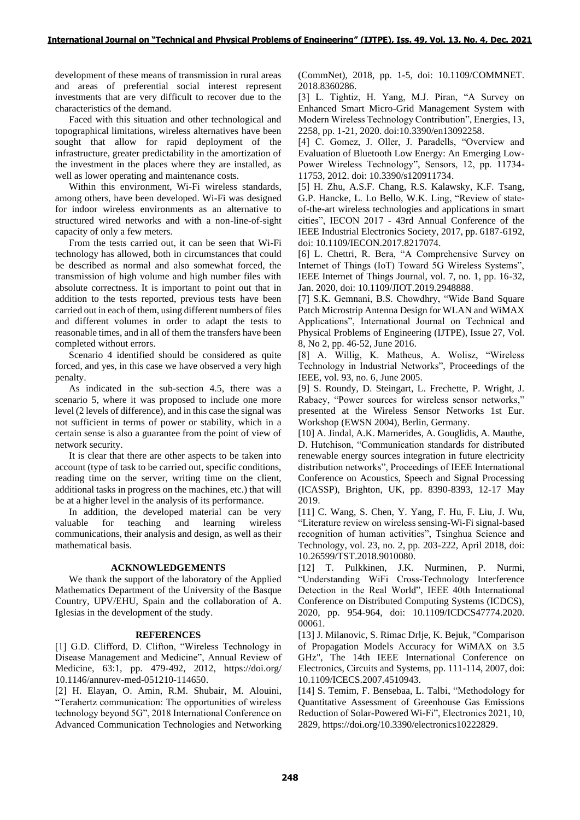development of these means of transmission in rural areas and areas of preferential social interest represent investments that are very difficult to recover due to the characteristics of the demand.

Faced with this situation and other technological and topographical limitations, wireless alternatives have been sought that allow for rapid deployment of the infrastructure, greater predictability in the amortization of the investment in the places where they are installed, as well as lower operating and maintenance costs.

Within this environment, Wi-Fi wireless standards, among others, have been developed. Wi-Fi was designed for indoor wireless environments as an alternative to structured wired networks and with a non-line-of-sight capacity of only a few meters.

From the tests carried out, it can be seen that Wi-Fi technology has allowed, both in circumstances that could be described as normal and also somewhat forced, the transmission of high volume and high number files with absolute correctness. It is important to point out that in addition to the tests reported, previous tests have been carried out in each of them, using different numbers of files and different volumes in order to adapt the tests to reasonable times, and in all of them the transfers have been completed without errors.

Scenario 4 identified should be considered as quite forced, and yes, in this case we have observed a very high penalty.

As indicated in the sub-section 4.5, there was a scenario 5, where it was proposed to include one more level (2 levels of difference), and in this case the signal was not sufficient in terms of power or stability, which in a certain sense is also a guarantee from the point of view of network security.

It is clear that there are other aspects to be taken into account (type of task to be carried out, specific conditions, reading time on the server, writing time on the client, additional tasks in progress on the machines, etc.) that will be at a higher level in the analysis of its performance.

In addition, the developed material can be very valuable for teaching and learning wireless communications, their analysis and design, as well as their mathematical basis.

## **ACKNOWLEDGEMENTS**

We thank the support of the laboratory of the Applied Mathematics Department of the University of the Basque Country, UPV/EHU, Spain and the collaboration of A. Iglesias in the development of the study.

# **REFERENCES**

[1] G.D. Clifford, D. Clifton, "Wireless Technology in Disease Management and Medicine", Annual Review of Medicine, 63:1, pp. 479-492, 2012, https://doi.org/ 10.1146/annurev-med-051210-114650.

[2] H. Elayan, O. Amin, R.M. Shubair, M. Alouini, "Terahertz communication: The opportunities of wireless technology beyond 5G", 2018 International Conference on Advanced Communication Technologies and Networking (CommNet), 2018, pp. 1-5, doi: 10.1109/COMMNET. 2018.8360286.

[3] L. Tightiz, H. Yang, M.J. Piran, "A Survey on Enhanced Smart Micro-Grid Management System with Modern Wireless Technology Contribution", Energies, 13, 2258, pp. 1-21, 2020. doi:10.3390/en13092258.

[4] C. Gomez, J. Oller, J. Paradells, "Overview and Evaluation of Bluetooth Low Energy: An Emerging Low-Power Wireless Technology", Sensors, 12, pp. 11734- 11753, 2012. doi: 10.3390/s120911734.

[5] H. Zhu, A.S.F. Chang, R.S. Kalawsky, K.F. Tsang, G.P. Hancke, L. Lo Bello, W.K. Ling, "Review of stateof-the-art wireless technologies and applications in smart cities", IECON 2017 - 43rd Annual Conference of the IEEE Industrial Electronics Society, 2017, pp. 6187-6192, doi: 10.1109/IECON.2017.8217074.

[6] L. Chettri, R. Bera, "A Comprehensive Survey on Internet of Things (IoT) Toward 5G Wireless Systems", IEEE Internet of Things Journal, vol. 7, no. 1, pp. 16-32, Jan. 2020, doi: 10.1109/JIOT.2019.2948888.

[7] S.K. Gemnani, B.S. Chowdhry, "Wide Band Square Patch Microstrip Antenna Design for WLAN and WiMAX Applications", International Journal on Technical and Physical Problems of Engineering (IJTPE), Issue 27, Vol. 8, No 2, pp. 46-52, June 2016.

[8] A. Willig, K. Matheus, A. Wolisz, "Wireless Technology in Industrial Networks", Proceedings of the IEEE, vol. 93, no. 6, June 2005.

[9] S. Roundy, D. Steingart, L. Frechette, P. Wright, J. Rabaey, "Power sources for wireless sensor networks," presented at the Wireless Sensor Networks 1st Eur. Workshop (EWSN 2004), Berlin, Germany.

[10] A. Jindal, A.K. Marnerides, A. Gouglidis, A. Mauthe, D. Hutchison, "Communication standards for distributed renewable energy sources integration in future electricity distribution networks", Proceedings of IEEE International Conference on Acoustics, Speech and Signal Processing (ICASSP), Brighton, UK, pp. 8390-8393, 12-17 May 2019.

[11] C. Wang, S. Chen, Y. Yang, F. Hu, F. Liu, J. Wu, "Literature review on wireless sensing-Wi-Fi signal-based recognition of human activities", Tsinghua Science and Technology, vol. 23, no. 2, pp. 203-222, April 2018, doi: 10.26599/TST.2018.9010080.

[12] T. Pulkkinen, J.K. Nurminen, P. Nurmi, "Understanding WiFi Cross-Technology Interference Detection in the Real World", IEEE 40th International Conference on Distributed Computing Systems (ICDCS), 2020, pp. 954-964, doi: 10.1109/ICDCS47774.2020. 00061.

[13] J. Milanovic, S. Rimac Drlje, K. Bejuk, "Comparison of Propagation Models Accuracy for WiMAX on 3.5 GHz", The 14th IEEE International Conference on Electronics, Circuits and Systems, pp. 111-114, 2007, doi: 10.1109/ICECS.2007.4510943.

[14] S. Temim, F. Bensebaa, L. Talbi, "Methodology for Quantitative Assessment of Greenhouse Gas Emissions Reduction of Solar-Powered Wi-Fi", Electronics 2021, 10, 2829, https://doi.org/10.3390/electronics10222829.